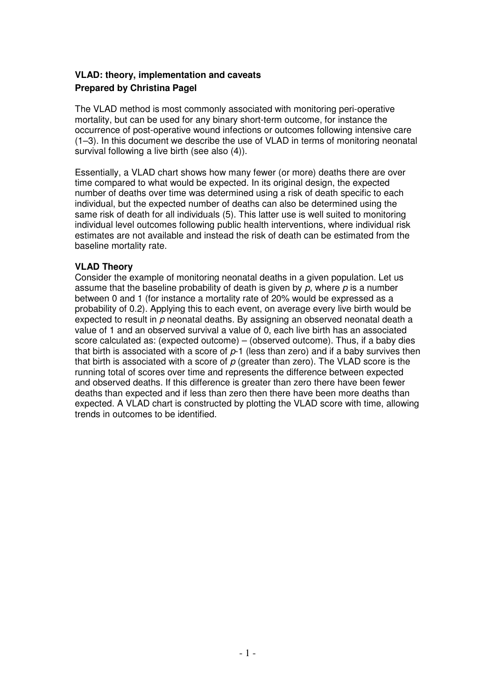# **VLAD: theory, implementation and caveats Prepared by Christina Pagel**

The VLAD method is most commonly associated with monitoring peri-operative mortality, but can be used for any binary short-term outcome, for instance the occurrence of post-operative wound infections or outcomes following intensive care (1–3). In this document we describe the use of VLAD in terms of monitoring neonatal survival following a live birth (see also (4)).

Essentially, a VLAD chart shows how many fewer (or more) deaths there are over time compared to what would be expected. In its original design, the expected number of deaths over time was determined using a risk of death specific to each individual, but the expected number of deaths can also be determined using the same risk of death for all individuals (5). This latter use is well suited to monitoring individual level outcomes following public health interventions, where individual risk estimates are not available and instead the risk of death can be estimated from the baseline mortality rate.

## **VLAD Theory**

Consider the example of monitoring neonatal deaths in a given population. Let us assume that the baseline probability of death is given by  $p$ , where  $p$  is a number between 0 and 1 (for instance a mortality rate of 20% would be expressed as a probability of 0.2). Applying this to each event, on average every live birth would be expected to result in  $p$  neonatal deaths. By assigning an observed neonatal death a value of 1 and an observed survival a value of 0, each live birth has an associated score calculated as: (expected outcome) – (observed outcome). Thus, if a baby dies that birth is associated with a score of  $p-1$  (less than zero) and if a baby survives then that birth is associated with a score of  $p$  (greater than zero). The VLAD score is the running total of scores over time and represents the difference between expected and observed deaths. If this difference is greater than zero there have been fewer deaths than expected and if less than zero then there have been more deaths than expected. A VLAD chart is constructed by plotting the VLAD score with time, allowing trends in outcomes to be identified.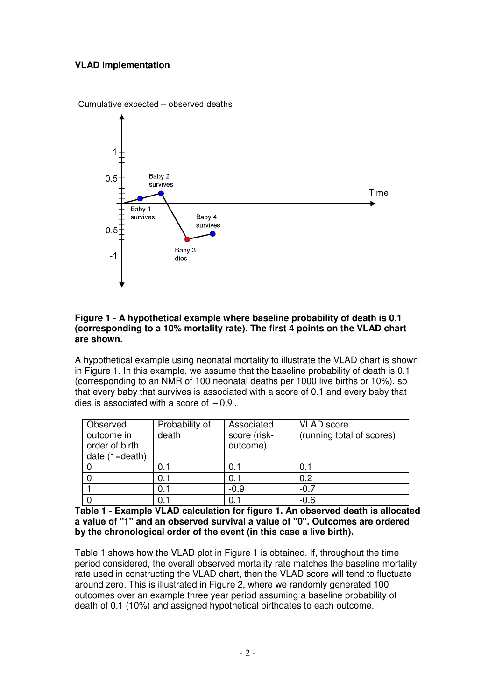## **VLAD Implementation**



Cumulative expected - observed deaths

#### **Figure 1 - A hypothetical example where baseline probability of death is 0.1 (corresponding to a 10% mortality rate). The first 4 points on the VLAD chart are shown.**

A hypothetical example using neonatal mortality to illustrate the VLAD chart is shown in Figure 1. In this example, we assume that the baseline probability of death is 0.1 (corresponding to an NMR of 100 neonatal deaths per 1000 live births or 10%), so that every baby that survives is associated with a score of 0.1 and every baby that dies is associated with a score of  $-0.9$ .

| Observed<br>outcome in<br>order of birth<br>date $(1=$ death) | Probability of<br>death | Associated<br>score (risk-<br>outcome) | <b>VLAD</b> score<br>(running total of scores) |
|---------------------------------------------------------------|-------------------------|----------------------------------------|------------------------------------------------|
|                                                               | 0.1                     | 0.1                                    | 0.1                                            |
|                                                               | 0.1                     | 0.1                                    | 0.2                                            |
|                                                               | 0.1                     | $-0.9$                                 | $-0.7$                                         |
|                                                               | ი 1                     | 0.                                     | $-0.6$                                         |

**Table 1 - Example VLAD calculation for figure 1. An observed death is allocated a value of "1" and an observed survival a value of "0". Outcomes are ordered by the chronological order of the event (in this case a live birth).** 

Table 1 shows how the VLAD plot in Figure 1 is obtained. If, throughout the time period considered, the overall observed mortality rate matches the baseline mortality rate used in constructing the VLAD chart, then the VLAD score will tend to fluctuate around zero. This is illustrated in Figure 2, where we randomly generated 100 outcomes over an example three year period assuming a baseline probability of death of 0.1 (10%) and assigned hypothetical birthdates to each outcome.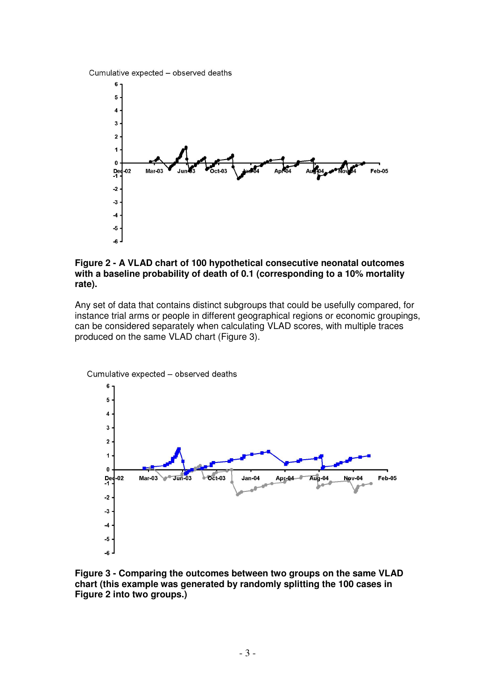Cumulative expected - observed deaths



#### **Figure 2 - A VLAD chart of 100 hypothetical consecutive neonatal outcomes with a baseline probability of death of 0.1 (corresponding to a 10% mortality rate).**

Any set of data that contains distinct subgroups that could be usefully compared, for instance trial arms or people in different geographical regions or economic groupings, can be considered separately when calculating VLAD scores, with multiple traces produced on the same VLAD chart (Figure 3).



Cumulative expected - observed deaths

**Figure 3 - Comparing the outcomes between two groups on the same VLAD chart (this example was generated by randomly splitting the 100 cases in Figure 2 into two groups.)**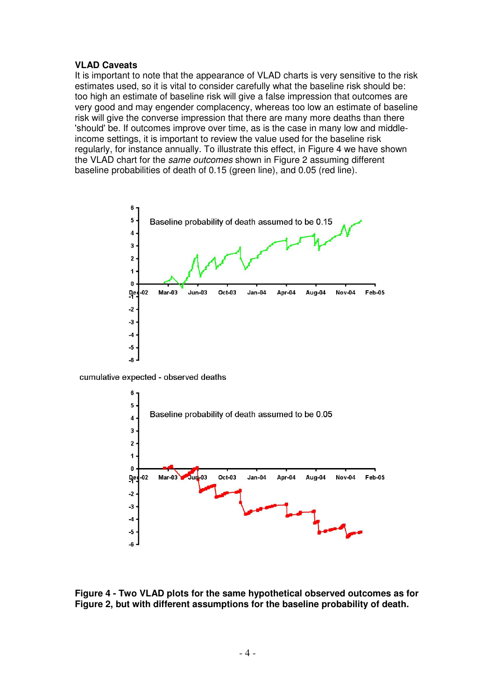#### **VLAD Caveats**

It is important to note that the appearance of VLAD charts is very sensitive to the risk estimates used, so it is vital to consider carefully what the baseline risk should be: too high an estimate of baseline risk will give a false impression that outcomes are very good and may engender complacency, whereas too low an estimate of baseline risk will give the converse impression that there are many more deaths than there 'should' be. If outcomes improve over time, as is the case in many low and middleincome settings, it is important to review the value used for the baseline risk regularly, for instance annually. To illustrate this effect, in Figure 4 we have shown the VLAD chart for the same outcomes shown in Figure 2 assuming different baseline probabilities of death of 0.15 (green line), and 0.05 (red line).



cumulative expected - observed deaths



**Figure 4 - Two VLAD plots for the same hypothetical observed outcomes as for Figure 2, but with different assumptions for the baseline probability of death.**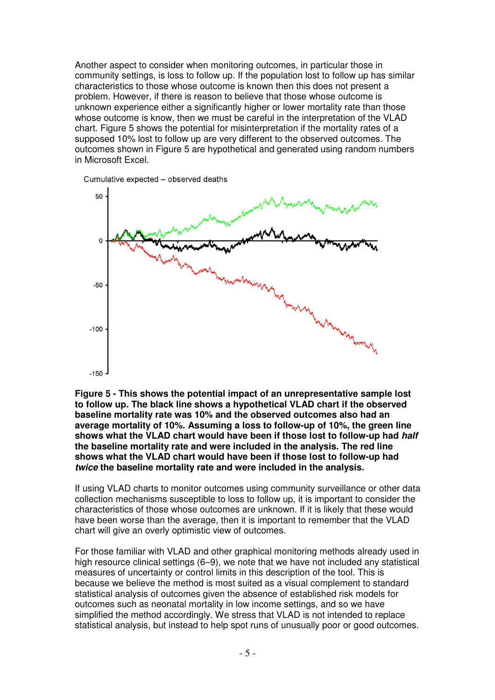Another aspect to consider when monitoring outcomes, in particular those in community settings, is loss to follow up. If the population lost to follow up has similar characteristics to those whose outcome is known then this does not present a problem. However, if there is reason to believe that those whose outcome is unknown experience either a significantly higher or lower mortality rate than those whose outcome is know, then we must be careful in the interpretation of the VLAD chart. Figure 5 shows the potential for misinterpretation if the mortality rates of a supposed 10% lost to follow up are very different to the observed outcomes. The outcomes shown in Figure 5 are hypothetical and generated using random numbers in Microsoft Excel.



**Figure 5 - This shows the potential impact of an unrepresentative sample lost to follow up. The black line shows a hypothetical VLAD chart if the observed baseline mortality rate was 10% and the observed outcomes also had an average mortality of 10%. Assuming a loss to follow-up of 10%, the green line shows what the VLAD chart would have been if those lost to follow-up had half the baseline mortality rate and were included in the analysis. The red line shows what the VLAD chart would have been if those lost to follow-up had twice the baseline mortality rate and were included in the analysis.** 

If using VLAD charts to monitor outcomes using community surveillance or other data collection mechanisms susceptible to loss to follow up, it is important to consider the characteristics of those whose outcomes are unknown. If it is likely that these would have been worse than the average, then it is important to remember that the VLAD chart will give an overly optimistic view of outcomes.

For those familiar with VLAD and other graphical monitoring methods already used in high resource clinical settings (6–9), we note that we have not included any statistical measures of uncertainty or control limits in this description of the tool. This is because we believe the method is most suited as a visual complement to standard statistical analysis of outcomes given the absence of established risk models for outcomes such as neonatal mortality in low income settings, and so we have simplified the method accordingly. We stress that VLAD is not intended to replace statistical analysis, but instead to help spot runs of unusually poor or good outcomes.